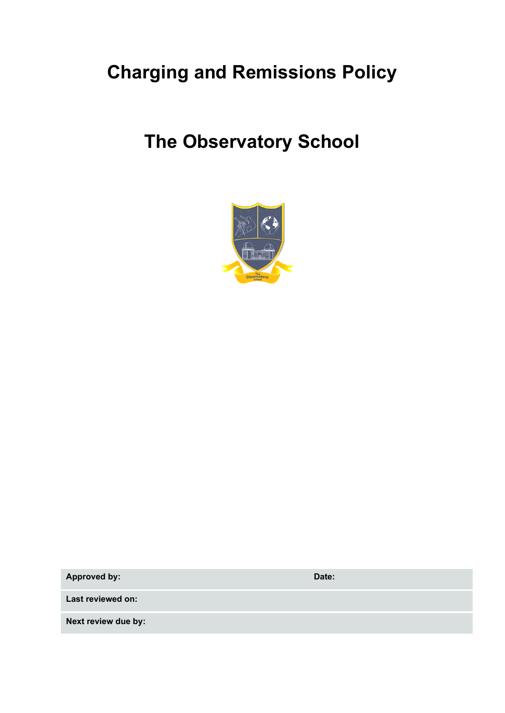# **Charging and Remissions Policy**

# **The Observatory School**



**Approved by: Date:**

**Last reviewed on:**

**Next review due by:**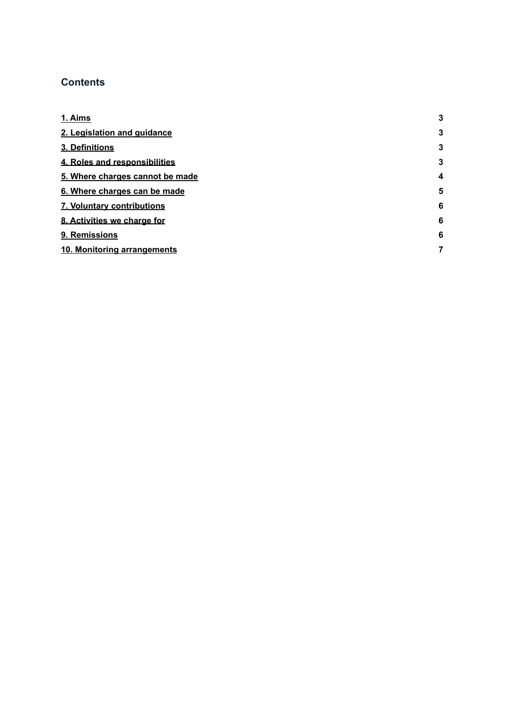### **Contents**

| 1. Aims                         | 3                |
|---------------------------------|------------------|
| 2. Legislation and guidance     | 3                |
| 3. Definitions                  | 3                |
| 4. Roles and responsibilities   | 3                |
| 5. Where charges cannot be made | $\boldsymbol{4}$ |
| 6. Where charges can be made    | 5                |
| 7. Voluntary contributions      | 6                |
| 8. Activities we charge for     | 6                |
| 9. Remissions                   | 6                |
| 10. Monitoring arrangements     | 7                |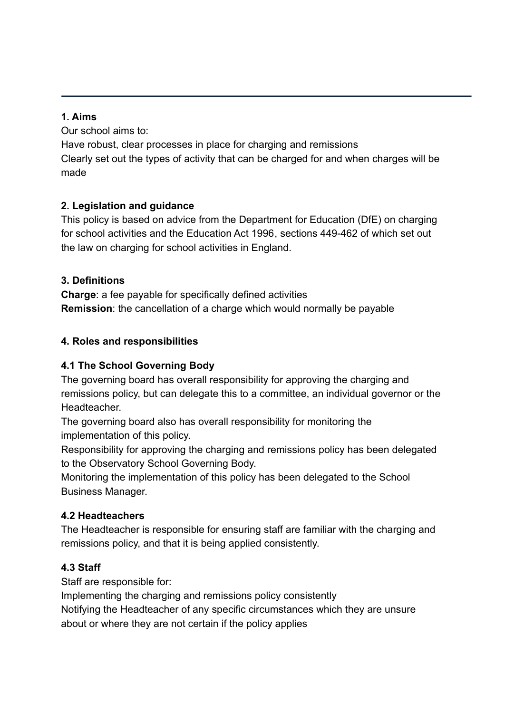### <span id="page-2-0"></span>**1. Aims**

Our school aims to: Have robust, clear processes in place for charging and remissions Clearly set out the types of activity that can be charged for and when charges will be made

### <span id="page-2-1"></span>**2. Legislation and guidance**

This policy is based on advice from the Department for Education (DfE) on [charging](https://www.gov.uk/government/publications/charging-for-school-activities) [for school activities](https://www.gov.uk/government/publications/charging-for-school-activities) and [the Education Act 1996](http://www.legislation.gov.uk/ukpga/1996/56/part/VI/chapter/III), sections 449-462 of which set out the law on charging for school activities in England.

## <span id="page-2-2"></span>**3. Definitions**

**Charge**: a fee payable for specifically defined activities **Remission**: the cancellation of a charge which would normally be payable

## <span id="page-2-3"></span>**4. Roles and responsibilities**

# **4.1 The School Governing Body**

The governing board has overall responsibility for approving the charging and remissions policy, but can delegate this to a committee, an individual governor or the Headteacher.

The governing board also has overall responsibility for monitoring the implementation of this policy.

Responsibility for approving the charging and remissions policy has been delegated to the Observatory School Governing Body.

Monitoring the implementation of this policy has been delegated to the School Business Manager.

### **4.2 Headteachers**

The Headteacher is responsible for ensuring staff are familiar with the charging and remissions policy, and that it is being applied consistently.

# **4.3 Staff**

Staff are responsible for:

Implementing the charging and remissions policy consistently

Notifying the Headteacher of any specific circumstances which they are unsure about or where they are not certain if the policy applies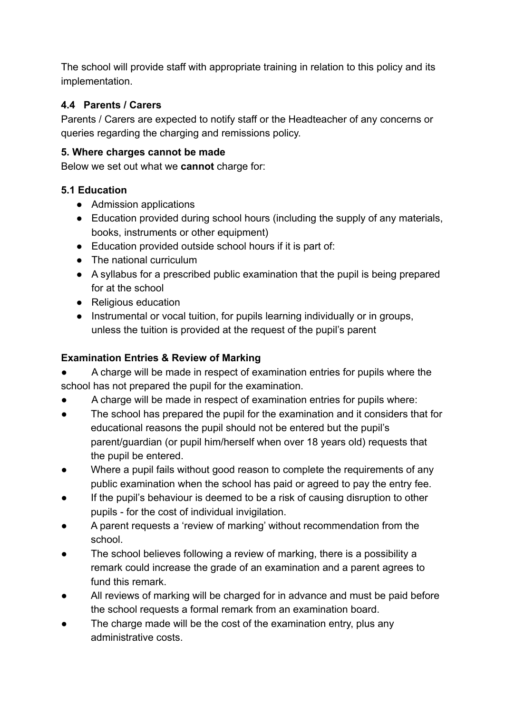The school will provide staff with appropriate training in relation to this policy and its implementation.

### **4.4 Parents / Carers**

Parents / Carers are expected to notify staff or the Headteacher of any concerns or queries regarding the charging and remissions policy.

## <span id="page-3-0"></span>**5. Where charges cannot be made**

Below we set out what we **cannot** charge for:

## **5.1 Education**

- Admission applications
- Education provided during school hours (including the supply of any materials, books, instruments or other equipment)
- Education provided outside school hours if it is part of:
- The national curriculum
- A syllabus for a prescribed public examination that the pupil is being prepared for at the school
- Religious education
- Instrumental or vocal tuition, for pupils learning individually or in groups, unless the tuition is provided at the request of the pupil's parent

# **Examination Entries & Review of Marking**

A charge will be made in respect of examination entries for pupils where the school has not prepared the pupil for the examination.

- A charge will be made in respect of examination entries for pupils where:
- The school has prepared the pupil for the examination and it considers that for educational reasons the pupil should not be entered but the pupil's parent/guardian (or pupil him/herself when over 18 years old) requests that the pupil be entered.
- Where a pupil fails without good reason to complete the requirements of any public examination when the school has paid or agreed to pay the entry fee.
- If the pupil's behaviour is deemed to be a risk of causing disruption to other pupils - for the cost of individual invigilation.
- A parent requests a 'review of marking' without recommendation from the school.
- The school believes following a review of marking, there is a possibility a remark could increase the grade of an examination and a parent agrees to fund this remark.
- All reviews of marking will be charged for in advance and must be paid before the school requests a formal remark from an examination board.
- The charge made will be the cost of the examination entry, plus any administrative costs.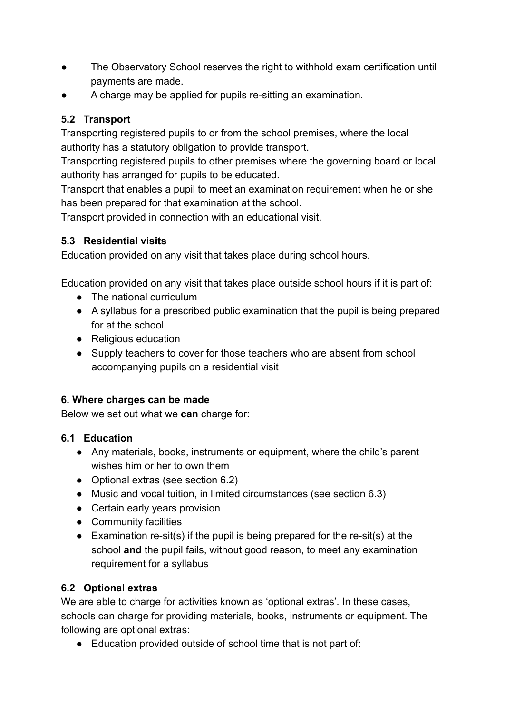- The Observatory School reserves the right to withhold exam certification until payments are made.
- A charge may be applied for pupils re-sitting an examination.

# **5.2 Transport**

Transporting registered pupils to or from the school premises, where the local authority has a statutory obligation to provide transport.

Transporting registered pupils to other premises where the governing board or local authority has arranged for pupils to be educated.

Transport that enables a pupil to meet an examination requirement when he or she has been prepared for that examination at the school.

Transport provided in connection with an educational visit.

# **5.3 Residential visits**

Education provided on any visit that takes place during school hours.

Education provided on any visit that takes place outside school hours if it is part of:

- The national curriculum
- A syllabus for a prescribed public examination that the pupil is being prepared for at the school
- Religious education
- Supply teachers to cover for those teachers who are absent from school accompanying pupils on a residential visit

# <span id="page-4-0"></span>**6. Where charges can be made**

Below we set out what we **can** charge for:

# **6.1 Education**

- Any materials, books, instruments or equipment, where the child's parent wishes him or her to own them
- Optional extras (see section 6.2)
- Music and vocal tuition, in limited circumstances (see section 6.3)
- Certain early years provision
- Community facilities
- Examination re-sit(s) if the pupil is being prepared for the re-sit(s) at the school **and** the pupil fails, without good reason, to meet any examination requirement for a syllabus

# **6.2 Optional extras**

We are able to charge for activities known as 'optional extras'. In these cases, schools can charge for providing materials, books, instruments or equipment. The following are optional extras:

● Education provided outside of school time that is not part of: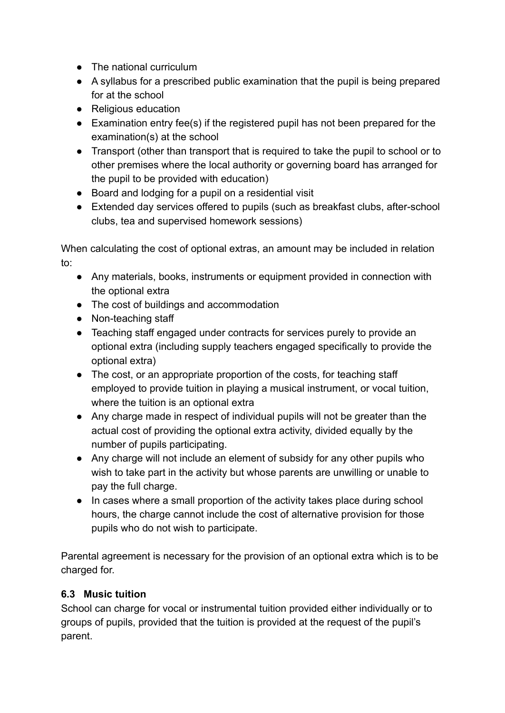- The national curriculum
- A syllabus for a prescribed public examination that the pupil is being prepared for at the school
- Religious education
- Examination entry fee(s) if the registered pupil has not been prepared for the examination(s) at the school
- Transport (other than transport that is required to take the pupil to school or to other premises where the local authority or governing board has arranged for the pupil to be provided with education)
- Board and lodging for a pupil on a residential visit
- Extended day services offered to pupils (such as breakfast clubs, after-school clubs, tea and supervised homework sessions)

When calculating the cost of optional extras, an amount may be included in relation to:

- Any materials, books, instruments or equipment provided in connection with the optional extra
- The cost of buildings and accommodation
- Non-teaching staff
- Teaching staff engaged under contracts for services purely to provide an optional extra (including supply teachers engaged specifically to provide the optional extra)
- The cost, or an appropriate proportion of the costs, for teaching staff employed to provide tuition in playing a musical instrument, or vocal tuition, where the tuition is an optional extra
- Any charge made in respect of individual pupils will not be greater than the actual cost of providing the optional extra activity, divided equally by the number of pupils participating.
- Any charge will not include an element of subsidy for any other pupils who wish to take part in the activity but whose parents are unwilling or unable to pay the full charge.
- In cases where a small proportion of the activity takes place during school hours, the charge cannot include the cost of alternative provision for those pupils who do not wish to participate.

Parental agreement is necessary for the provision of an optional extra which is to be charged for.

# **6.3 Music tuition**

School can charge for vocal or instrumental tuition provided either individually or to groups of pupils, provided that the tuition is provided at the request of the pupil's parent.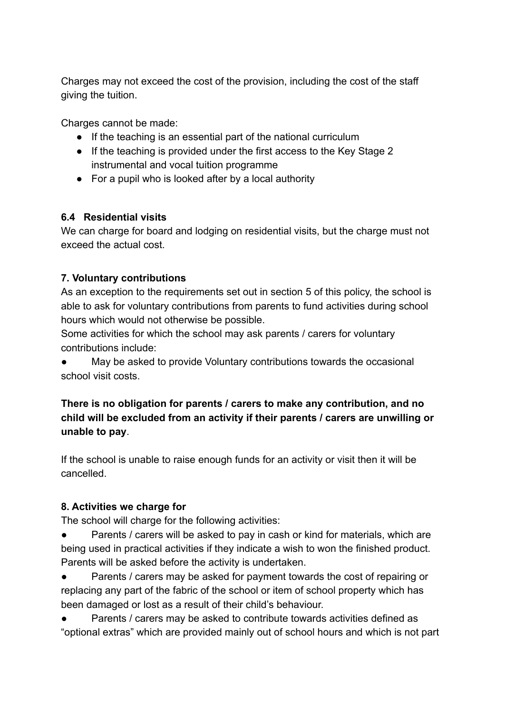Charges may not exceed the cost of the provision, including the cost of the staff giving the tuition.

Charges cannot be made:

- If the teaching is an essential part of the national curriculum
- If the teaching is provided under the first access to the Key Stage 2 instrumental and vocal tuition programme
- For a pupil who is looked after by a local authority

#### **6.4 Residential visits**

We can charge for board and lodging on residential visits, but the charge must not exceed the actual cost.

#### <span id="page-6-0"></span>**7. Voluntary contributions**

As an exception to the requirements set out in section 5 of this policy, the school is able to ask for voluntary contributions from parents to fund activities during school hours which would not otherwise be possible.

Some activities for which the school may ask parents / carers for voluntary contributions include:

May be asked to provide Voluntary contributions towards the occasional school visit costs.

**There is no obligation for parents / carers to make any contribution, and no child will be excluded from an activity if their parents / carers are unwilling or unable to pay**.

If the school is unable to raise enough funds for an activity or visit then it will be cancelled.

#### <span id="page-6-1"></span>**8. Activities we charge for**

The school will charge for the following activities:

Parents / carers will be asked to pay in cash or kind for materials, which are being used in practical activities if they indicate a wish to won the finished product. Parents will be asked before the activity is undertaken.

• Parents / carers may be asked for payment towards the cost of repairing or replacing any part of the fabric of the school or item of school property which has been damaged or lost as a result of their child's behaviour.

Parents / carers may be asked to contribute towards activities defined as "optional extras" which are provided mainly out of school hours and which is not part